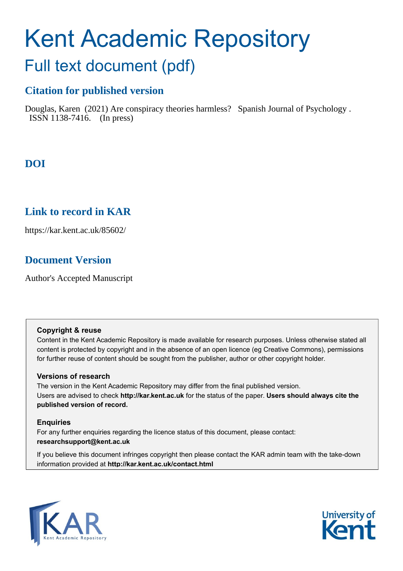# Kent Academic Repository Full text document (pdf)

# **Citation for published version**

Douglas, Karen (2021) Are conspiracy theories harmless? Spanish Journal of Psychology . ISSN 1138-7416. (In press)

# **DOI**

# **Link to record in KAR**

https://kar.kent.ac.uk/85602/

# **Document Version**

Author's Accepted Manuscript

## **Copyright & reuse**

Content in the Kent Academic Repository is made available for research purposes. Unless otherwise stated all content is protected by copyright and in the absence of an open licence (eg Creative Commons), permissions for further reuse of content should be sought from the publisher, author or other copyright holder.

## **Versions of research**

The version in the Kent Academic Repository may differ from the final published version. Users are advised to check **http://kar.kent.ac.uk** for the status of the paper. **Users should always cite the published version of record.**

## **Enquiries**

For any further enquiries regarding the licence status of this document, please contact: **researchsupport@kent.ac.uk**

If you believe this document infringes copyright then please contact the KAR admin team with the take-down information provided at **http://kar.kent.ac.uk/contact.html**



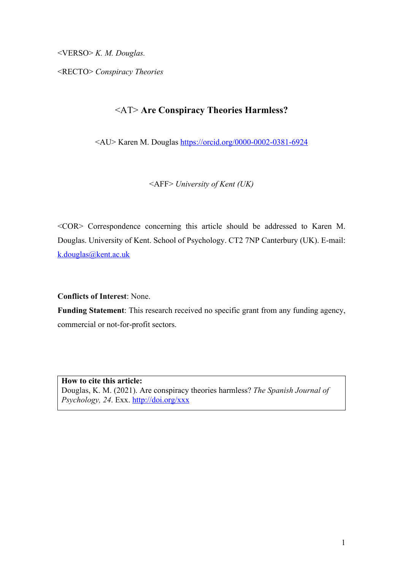<VERSO> *K. M. Douglas.* 

<RECTO> *Conspiracy Theories*

# <AT> **Are Conspiracy Theories Harmless?**

<AU> Karen M. Douglas https://orcid.org/0000-0002-0381-6924

<AFF> *University of Kent (UK)*

<COR> Correspondence concerning this article should be addressed to Karen M. Douglas. University of Kent. School of Psychology. CT2 7NP Canterbury (UK). E-mail: k.douglas@kent.ac.uk

**Conflicts of Interest**: None.

**Funding Statement**: This research received no specific grant from any funding agency, commercial or not-for-profit sectors.

**How to cite this article:** Douglas, K. M. (2021). Are conspiracy theories harmless? *The Spanish Journal of Psychology, 24*. Exx. http://doi.org/xxx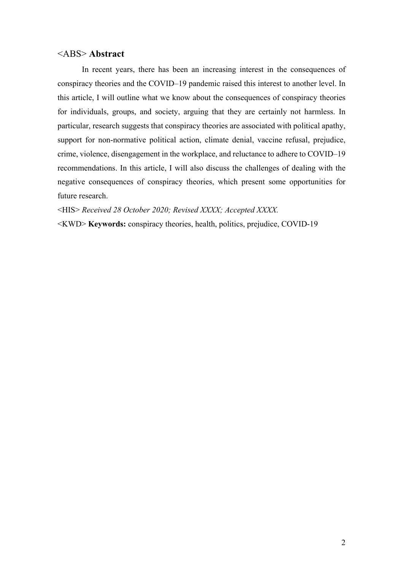## <ABS> **Abstract**

In recent years, there has been an increasing interest in the consequences of conspiracy theories and the COVID–19 pandemic raised this interest to another level. In this article, I will outline what we know about the consequences of conspiracy theories for individuals, groups, and society, arguing that they are certainly not harmless. In particular, research suggests that conspiracy theories are associated with political apathy, support for non-normative political action, climate denial, vaccine refusal, prejudice, crime, violence, disengagement in the workplace, and reluctance to adhere to COVID–19 recommendations. In this article, I will also discuss the challenges of dealing with the negative consequences of conspiracy theories, which present some opportunities for future research.

<HIS> *Received 28 October 2020; Revised XXXX; Accepted XXXX.* 

<KWD> **Keywords:** conspiracy theories, health, politics, prejudice, COVID-19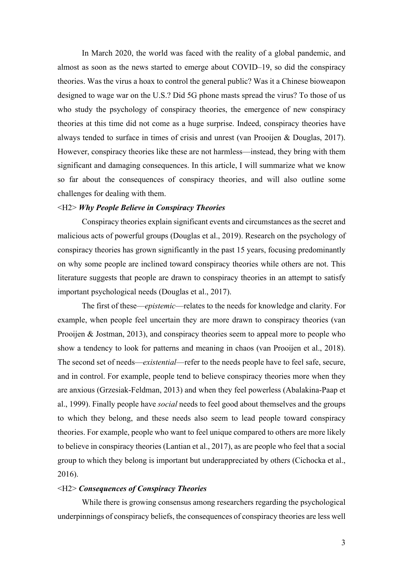In March 2020, the world was faced with the reality of a global pandemic, and almost as soon as the news started to emerge about COVID–19, so did the conspiracy theories. Was the virus a hoax to control the general public? Was it a Chinese bioweapon designed to wage war on the U.S.? Did 5G phone masts spread the virus? To those of us who study the psychology of conspiracy theories, the emergence of new conspiracy theories at this time did not come as a huge surprise. Indeed, conspiracy theories have always tended to surface in times of crisis and unrest (van Prooijen & Douglas, 2017). However, conspiracy theories like these are not harmless—instead, they bring with them significant and damaging consequences. In this article, I will summarize what we know so far about the consequences of conspiracy theories, and will also outline some challenges for dealing with them.

#### <H2> *Why People Believe in Conspiracy Theories*

Conspiracy theories explain significant events and circumstances as the secret and malicious acts of powerful groups (Douglas et al., 2019). Research on the psychology of conspiracy theories has grown significantly in the past 15 years, focusing predominantly on why some people are inclined toward conspiracy theories while others are not. This literature suggests that people are drawn to conspiracy theories in an attempt to satisfy important psychological needs (Douglas et al., 2017).

The first of these—*epistemic*—relates to the needs for knowledge and clarity. For example, when people feel uncertain they are more drawn to conspiracy theories (van Prooijen & Jostman, 2013), and conspiracy theories seem to appeal more to people who show a tendency to look for patterns and meaning in chaos (van Prooijen et al., 2018). The second set of needs—*existential*—refer to the needs people have to feel safe, secure, and in control. For example, people tend to believe conspiracy theories more when they are anxious (Grzesiak-Feldman, 2013) and when they feel powerless (Abalakina-Paap et al., 1999). Finally people have *social* needs to feel good about themselves and the groups to which they belong, and these needs also seem to lead people toward conspiracy theories. For example, people who want to feel unique compared to others are more likely to believe in conspiracy theories (Lantian et al., 2017), as are people who feel that a social group to which they belong is important but underappreciated by others (Cichocka et al., 2016).

#### <H2> *Consequences of Conspiracy Theories*

While there is growing consensus among researchers regarding the psychological underpinnings of conspiracy beliefs, the consequences of conspiracy theories are less well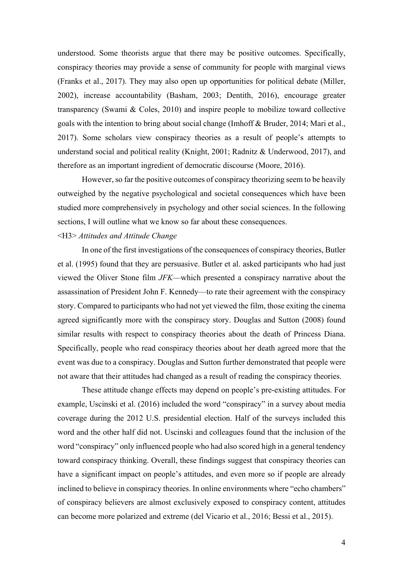understood. Some theorists argue that there may be positive outcomes. Specifically, conspiracy theories may provide a sense of community for people with marginal views (Franks et al., 2017). They may also open up opportunities for political debate (Miller, 2002), increase accountability (Basham, 2003; Dentith, 2016), encourage greater transparency (Swami & Coles, 2010) and inspire people to mobilize toward collective goals with the intention to bring about social change (Imhoff & Bruder, 2014; Mari et al., 2017). Some scholars view conspiracy theories as a result of people's attempts to understand social and political reality (Knight, 2001; Radnitz & Underwood, 2017), and therefore as an important ingredient of democratic discourse (Moore, 2016).

However, so far the positive outcomes of conspiracy theorizing seem to be heavily outweighed by the negative psychological and societal consequences which have been studied more comprehensively in psychology and other social sciences. In the following sections, I will outline what we know so far about these consequences.

#### <H3> *Attitudes and Attitude Change*

In one of the first investigations of the consequences of conspiracy theories, Butler et al. (1995) found that they are persuasive. Butler et al. asked participants who had just viewed the Oliver Stone film *JFK*—which presented a conspiracy narrative about the assassination of President John F. Kennedy—to rate their agreement with the conspiracy story. Compared to participants who had not yet viewed the film, those exiting the cinema agreed significantly more with the conspiracy story. Douglas and Sutton (2008) found similar results with respect to conspiracy theories about the death of Princess Diana. Specifically, people who read conspiracy theories about her death agreed more that the event was due to a conspiracy. Douglas and Sutton further demonstrated that people were not aware that their attitudes had changed as a result of reading the conspiracy theories.

These attitude change effects may depend on people's pre-existing attitudes. For example, Uscinski et al. (2016) included the word "conspiracy" in a survey about media coverage during the 2012 U.S. presidential election. Half of the surveys included this word and the other half did not. Uscinski and colleagues found that the inclusion of the word "conspiracy" only influenced people who had also scored high in a general tendency toward conspiracy thinking. Overall, these findings suggest that conspiracy theories can have a significant impact on people's attitudes, and even more so if people are already inclined to believe in conspiracy theories. In online environments where "echo chambers" of conspiracy believers are almost exclusively exposed to conspiracy content, attitudes can become more polarized and extreme (del Vicario et al., 2016; Bessi et al., 2015).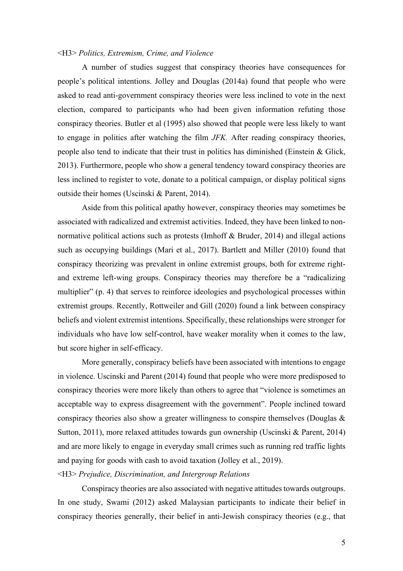#### <H3> *Politics, Extremism, Crime, and Violence*

A number of studies suggest that conspiracy theories have consequences for people's political intentions. Jolley and Douglas (2014a) found that people who were asked to read anti-government conspiracy theories were less inclined to vote in the next election, compared to participants who had been given information refuting those conspiracy theories. Butler et al (1995) also showed that people were less likely to want to engage in politics after watching the film *JFK.* After reading conspiracy theories, people also tend to indicate that their trust in politics has diminished (Einstein & Glick, 2013). Furthermore, people who show a general tendency toward conspiracy theories are less inclined to register to vote, donate to a political campaign, or display political signs outside their homes (Uscinski & Parent, 2014).

Aside from this political apathy however, conspiracy theories may sometimes be associated with radicalized and extremist activities. Indeed, they have been linked to nonnormative political actions such as protests (Imhoff & Bruder, 2014) and illegal actions such as occupying buildings (Mari et al., 2017). Bartlett and Miller (2010) found that conspiracy theorizing was prevalent in online extremist groups, both for extreme rightand extreme left-wing groups. Conspiracy theories may therefore be a "radicalizing multiplier" (p. 4) that serves to reinforce ideologies and psychological processes within extremist groups. Recently, Rottweiler and Gill (2020) found a link between conspiracy beliefs and violent extremist intentions. Specifically, these relationships were stronger for individuals who have low self-control, have weaker morality when it comes to the law, but score higher in self-efficacy.

More generally, conspiracy beliefs have been associated with intentions to engage in violence. Uscinski and Parent (2014) found that people who were more predisposed to conspiracy theories were more likely than others to agree that "violence is sometimes an acceptable way to express disagreement with the government". People inclined toward conspiracy theories also show a greater willingness to conspire themselves (Douglas & Sutton, 2011), more relaxed attitudes towards gun ownership (Uscinski & Parent, 2014) and are more likely to engage in everyday small crimes such as running red traffic lights and paying for goods with cash to avoid taxation (Jolley et al., 2019).

#### <H3> *Prejudice, Discrimination, and Intergroup Relations*

Conspiracy theories are also associated with negative attitudes towards outgroups. In one study, Swami (2012) asked Malaysian participants to indicate their belief in conspiracy theories generally, their belief in anti-Jewish conspiracy theories (e.g., that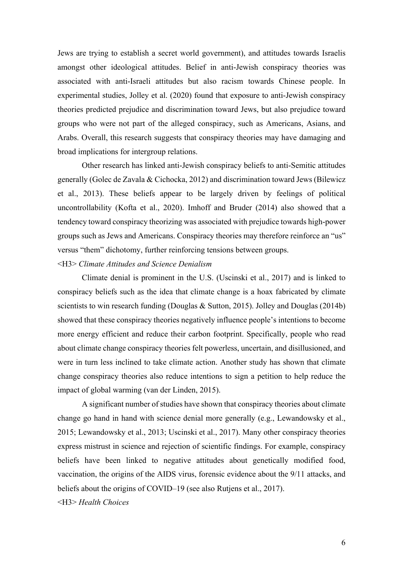Jews are trying to establish a secret world government), and attitudes towards Israelis amongst other ideological attitudes. Belief in anti-Jewish conspiracy theories was associated with anti-Israeli attitudes but also racism towards Chinese people. In experimental studies, Jolley et al. (2020) found that exposure to anti-Jewish conspiracy theories predicted prejudice and discrimination toward Jews, but also prejudice toward groups who were not part of the alleged conspiracy, such as Americans, Asians, and Arabs. Overall, this research suggests that conspiracy theories may have damaging and broad implications for intergroup relations.

Other research has linked anti-Jewish conspiracy beliefs to anti-Semitic attitudes generally (Golec de Zavala & Cichocka, 2012) and discrimination toward Jews (Bilewicz et al., 2013). These beliefs appear to be largely driven by feelings of political uncontrollability (Kofta et al., 2020). Imhoff and Bruder (2014) also showed that a tendency toward conspiracy theorizing was associated with prejudice towards high-power groups such as Jews and Americans. Conspiracy theories may therefore reinforce an "us" versus "them" dichotomy, further reinforcing tensions between groups.

## <H3> *Climate Attitudes and Science Denialism*

Climate denial is prominent in the U.S. (Uscinski et al., 2017) and is linked to conspiracy beliefs such as the idea that climate change is a hoax fabricated by climate scientists to win research funding (Douglas & Sutton, 2015). Jolley and Douglas (2014b) showed that these conspiracy theories negatively influence people's intentions to become more energy efficient and reduce their carbon footprint. Specifically, people who read about climate change conspiracy theories felt powerless, uncertain, and disillusioned, and were in turn less inclined to take climate action. Another study has shown that climate change conspiracy theories also reduce intentions to sign a petition to help reduce the impact of global warming (van der Linden, 2015).

A significant number of studies have shown that conspiracy theories about climate change go hand in hand with science denial more generally (e.g., Lewandowsky et al., 2015; Lewandowsky et al., 2013; Uscinski et al., 2017). Many other conspiracy theories express mistrust in science and rejection of scientific findings. For example, conspiracy beliefs have been linked to negative attitudes about genetically modified food, vaccination, the origins of the AIDS virus, forensic evidence about the 9/11 attacks, and beliefs about the origins of COVID–19 (see also Rutjens et al., 2017).

<H3> *Health Choices*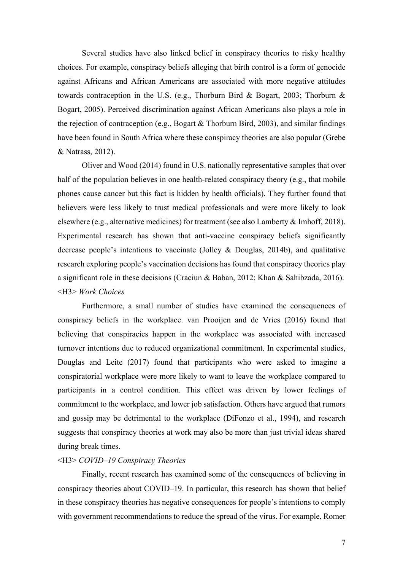Several studies have also linked belief in conspiracy theories to risky healthy choices. For example, conspiracy beliefs alleging that birth control is a form of genocide against Africans and African Americans are associated with more negative attitudes towards contraception in the U.S. (e.g., Thorburn Bird & Bogart, 2003; Thorburn & Bogart, 2005). Perceived discrimination against African Americans also plays a role in the rejection of contraception (e.g., Bogart & Thorburn Bird, 2003), and similar findings have been found in South Africa where these conspiracy theories are also popular (Grebe & Natrass, 2012).

Oliver and Wood (2014) found in U.S. nationally representative samples that over half of the population believes in one health-related conspiracy theory (e.g., that mobile phones cause cancer but this fact is hidden by health officials). They further found that believers were less likely to trust medical professionals and were more likely to look elsewhere (e.g., alternative medicines) for treatment (see also Lamberty & Imhoff, 2018). Experimental research has shown that anti-vaccine conspiracy beliefs significantly decrease people's intentions to vaccinate (Jolley & Douglas, 2014b), and qualitative research exploring people's vaccination decisions has found that conspiracy theories play a significant role in these decisions (Craciun & Baban, 2012; Khan & Sahibzada, 2016). <H3> *Work Choices*

Furthermore, a small number of studies have examined the consequences of conspiracy beliefs in the workplace. van Prooijen and de Vries (2016) found that believing that conspiracies happen in the workplace was associated with increased turnover intentions due to reduced organizational commitment. In experimental studies, Douglas and Leite (2017) found that participants who were asked to imagine a conspiratorial workplace were more likely to want to leave the workplace compared to participants in a control condition. This effect was driven by lower feelings of commitment to the workplace, and lower job satisfaction. Others have argued that rumors and gossip may be detrimental to the workplace (DiFonzo et al., 1994), and research suggests that conspiracy theories at work may also be more than just trivial ideas shared during break times.

#### <H3> *COVID–19 Conspiracy Theories*

Finally, recent research has examined some of the consequences of believing in conspiracy theories about COVID–19. In particular, this research has shown that belief in these conspiracy theories has negative consequences for people's intentions to comply with government recommendations to reduce the spread of the virus. For example, Romer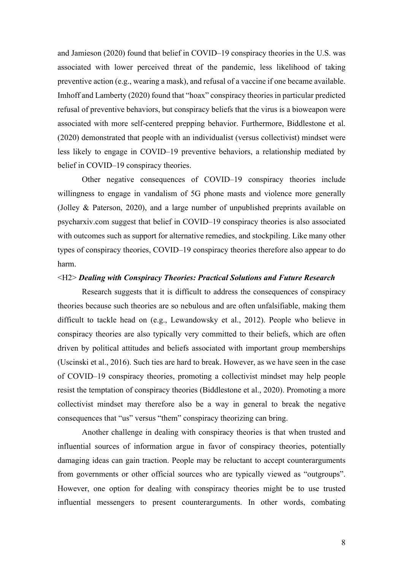and Jamieson (2020) found that belief in COVID–19 conspiracy theories in the U.S. was associated with lower perceived threat of the pandemic, less likelihood of taking preventive action (e.g., wearing a mask), and refusal of a vaccine if one became available. Imhoff and Lamberty (2020) found that "hoax" conspiracy theories in particular predicted refusal of preventive behaviors, but conspiracy beliefs that the virus is a bioweapon were associated with more self-centered prepping behavior. Furthermore, Biddlestone et al. (2020) demonstrated that people with an individualist (versus collectivist) mindset were less likely to engage in COVID–19 preventive behaviors, a relationship mediated by belief in COVID–19 conspiracy theories.

Other negative consequences of COVID–19 conspiracy theories include willingness to engage in vandalism of 5G phone masts and violence more generally (Jolley & Paterson, 2020), and a large number of unpublished preprints available on psycharxiv.com suggest that belief in COVID–19 conspiracy theories is also associated with outcomes such as support for alternative remedies, and stockpiling. Like many other types of conspiracy theories, COVID–19 conspiracy theories therefore also appear to do harm.

#### <H2> *Dealing with Conspiracy Theories: Practical Solutions and Future Research*

Research suggests that it is difficult to address the consequences of conspiracy theories because such theories are so nebulous and are often unfalsifiable, making them difficult to tackle head on (e.g., Lewandowsky et al., 2012). People who believe in conspiracy theories are also typically very committed to their beliefs, which are often driven by political attitudes and beliefs associated with important group memberships (Uscinski et al., 2016). Such ties are hard to break. However, as we have seen in the case of COVID–19 conspiracy theories, promoting a collectivist mindset may help people resist the temptation of conspiracy theories (Biddlestone et al., 2020). Promoting a more collectivist mindset may therefore also be a way in general to break the negative consequences that "us" versus "them" conspiracy theorizing can bring.

Another challenge in dealing with conspiracy theories is that when trusted and influential sources of information argue in favor of conspiracy theories, potentially damaging ideas can gain traction. People may be reluctant to accept counterarguments from governments or other official sources who are typically viewed as "outgroups". However, one option for dealing with conspiracy theories might be to use trusted influential messengers to present counterarguments. In other words, combating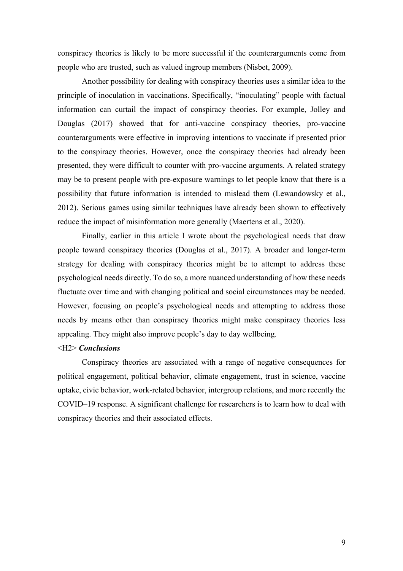conspiracy theories is likely to be more successful if the counterarguments come from people who are trusted, such as valued ingroup members (Nisbet, 2009).

Another possibility for dealing with conspiracy theories uses a similar idea to the principle of inoculation in vaccinations. Specifically, "inoculating" people with factual information can curtail the impact of conspiracy theories. For example, Jolley and Douglas (2017) showed that for anti-vaccine conspiracy theories, pro-vaccine counterarguments were effective in improving intentions to vaccinate if presented prior to the conspiracy theories. However, once the conspiracy theories had already been presented, they were difficult to counter with pro-vaccine arguments. A related strategy may be to present people with pre-exposure warnings to let people know that there is a possibility that future information is intended to mislead them (Lewandowsky et al., 2012). Serious games using similar techniques have already been shown to effectively reduce the impact of misinformation more generally (Maertens et al., 2020).

Finally, earlier in this article I wrote about the psychological needs that draw people toward conspiracy theories (Douglas et al., 2017). A broader and longer-term strategy for dealing with conspiracy theories might be to attempt to address these psychological needs directly. To do so, a more nuanced understanding of how these needs fluctuate over time and with changing political and social circumstances may be needed. However, focusing on people's psychological needs and attempting to address those needs by means other than conspiracy theories might make conspiracy theories less appealing. They might also improve people's day to day wellbeing.

#### <H2> *Conclusions*

Conspiracy theories are associated with a range of negative consequences for political engagement, political behavior, climate engagement, trust in science, vaccine uptake, civic behavior, work-related behavior, intergroup relations, and more recently the COVID–19 response. A significant challenge for researchers is to learn how to deal with conspiracy theories and their associated effects.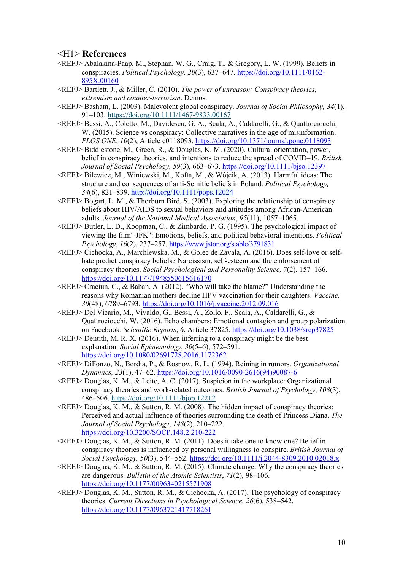## <H1> **References**

- <REFJ> Abalakina-Paap, M., Stephan, W. G., Craig, T., & Gregory, L. W. (1999). Beliefs in conspiracies. *Political Psychology, 20*(3), 637–647. https://doi.org/10.1111/0162- 895X.00160
- <REFJ> Bartlett, J., & Miller, C. (2010). *The power of unreason: Conspiracy theories, extremism and counter-terrorism*. Demos.
- <REFJ> Basham, L. (2003). Malevolent global conspiracy. *Journal of Social Philosophy, 34*(1), 91–103. https://doi.org/10.1111/1467-9833.00167
- <REFJ> Bessi, A., Coletto, M., Davidescu, G. A., Scala, A., Caldarelli, G., & Quattrociocchi, W. (2015). Science vs conspiracy: Collective narratives in the age of misinformation. *PLOS ONE*, *10*(2), Article e0118093. https://doi.org/10.1371/journal.pone.0118093
- <REFJ> Biddlestone, M., Green, R., & Douglas, K. M. (2020). Cultural orientation, power, belief in conspiracy theories, and intentions to reduce the spread of COVID–19. *British Journal of Social Psychology, 59*(3), 663–673. https://doi.org/10.1111/bjso.12397
- <REFJ> Bilewicz, M., Winiewski, M., Kofta, M., & Wójcik, A. (2013). Harmful ideas: The structure and consequences of anti-Semitic beliefs in Poland. *Political Psychology, 34*(6), 821–839. http://doi.org/10.1111/pops.12024
- $\langle REFJ \rangle$  Bogart, L. M., & Thorburn Bird, S. (2003). Exploring the relationship of conspiracy beliefs about HIV/AIDS to sexual behaviors and attitudes among African-American adults. *Journal of the National Medical Association*, *95*(11), 1057–1065.
- <REFJ> Butler, L. D., Koopman, C., & Zimbardo, P. G. (1995). The psychological impact of viewing the film" JFK": Emotions, beliefs, and political behavioral intentions. *Political Psychology*, *16*(2), 237–257. https://www.jstor.org/stable/3791831
- <REFJ> Cichocka, A., Marchlewska, M., & Golec de Zavala, A. (2016). Does self-love or selfhate predict conspiracy beliefs? Narcissism, self-esteem and the endorsement of conspiracy theories. *Social Psychological and Personality Science, 7*(2), 157–166. https://doi.org/10.1177/1948550615616170
- <REFJ> Craciun, C., & Baban, A. (2012). "Who will take the blame?" Understanding the reasons why Romanian mothers decline HPV vaccination for their daughters. *Vaccine, 30*(48), 6789–6793. https://doi.org/10.1016/j.vaccine.2012.09.016
- <REFJ> Del Vicario, M., Vivaldo, G., Bessi, A., Zollo, F., Scala, A., Caldarelli, G., & Quattrociocchi, W. (2016). Echo chambers: Emotional contagion and group polarization on Facebook. *Scientific Reports*, *6*, Article 37825. https://doi.org/10.1038/srep37825
- $\leq$ REFJ $>$  Dentith, M. R. X. (2016). When inferring to a conspiracy might be the best explanation. *Social Epistemology*, *30*(5–6), 572–591. https://doi.org/10.1080/02691728.2016.1172362
- <REFJ> DiFonzo, N., Bordia, P., & Rosnow, R. L. (1994). Reining in rumors. *Organizational Dynamics, 23*(1), 47–62. https://doi.org/10.1016/0090-2616(94)90087-6
- <REFJ> Douglas, K. M., & Leite, A. C. (2017). Suspicion in the workplace: Organizational conspiracy theories and work‐related outcomes. *British Journal of Psychology*, *108*(3), 486–506. https://doi.org/10.1111/bjop.12212
- $\leq$ REFJ $>$  Douglas, K. M., & Sutton, R. M. (2008). The hidden impact of conspiracy theories: Perceived and actual influence of theories surrounding the death of Princess Diana. *The Journal of Social Psychology*, *148*(2), 210–222. https://doi.org/10.3200/SOCP.148.2.210-222
- <REFJ> Douglas, K. M., & Sutton, R. M. (2011). Does it take one to know one? Belief in conspiracy theories is influenced by personal willingness to conspire. *British Journal of Social Psychology, 50*(3), 544–552. https://doi.org/10.1111/j.2044-8309.2010.02018.x
- $\langle REFJ \rangle$  Douglas, K. M., & Sutton, R. M. (2015). Climate change: Why the conspiracy theories are dangerous. *Bulletin of the Atomic Scientists*, *71*(2), 98–106. https://doi.org/10.1177/0096340215571908
- $\langle REFJ \rangle$  Douglas, K. M., Sutton, R. M., & Cichocka, A. (2017). The psychology of conspiracy theories. *Current Directions in Psychological Science, 26*(6), 538–542. https://doi.org/10.1177/0963721417718261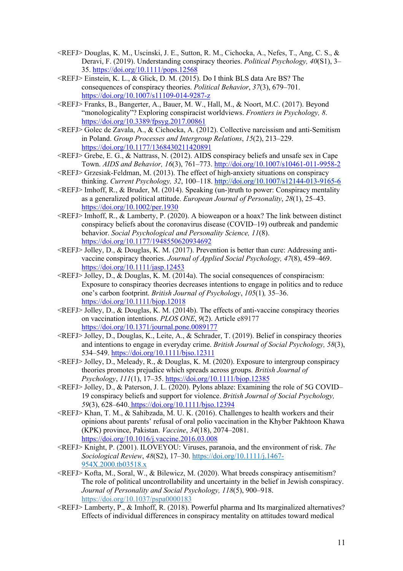- <REFJ> Douglas, K. M., Uscinski, J. E., Sutton, R. M., Cichocka, A., Nefes, T., Ang, C. S., & Deravi, F. (2019). Understanding conspiracy theories. *Political Psychology, 40*(S1), 3– 35. https://doi.org/10.1111/pops.12568
- <REFJ> Einstein, K. L., & Glick, D. M. (2015). Do I think BLS data Are BS? The consequences of conspiracy theories. *Political Behavior*, *37*(3), 679–701. https://doi.org/10.1007/s11109-014-9287-z
- <REFJ> Franks, B., Bangerter, A., Bauer, M. W., Hall, M., & Noort, M.C. (2017). Beyond "monologicality"? Exploring conspiracist worldviews. *Frontiers in Psychology, 8*. https://doi.org/10.3389/fpsyg.2017.00861
- <REFJ> Golec de Zavala, A., & Cichocka, A. (2012). Collective narcissism and anti-Semitism in Poland. *Group Processes and Intergroup Relations*, *15*(2), 213–229. https://doi.org/10.1177/1368430211420891
- <REFJ> Grebe, E. G., & Nattrass, N. (2012). AIDS conspiracy beliefs and unsafe sex in Cape Town. *AIDS and Behavior, 16*(3), 761–773. http://doi.org/10.1007/s10461-011-9958-2
- <REFJ> Grzesiak-Feldman, M. (2013). The effect of high-anxiety situations on conspiracy thinking. *Current Psychology, 32*, 100–118. http://doi.org/10.1007/s12144-013-9165-6
- <REFJ> Imhoff, R., & Bruder, M. (2014). Speaking (un‐)truth to power: Conspiracy mentality as a generalized political attitude. *European Journal of Personality*, *28*(1), 25–43. https://doi.org/10.1002/per.1930
- <REFJ> Imhoff, R., & Lamberty, P. (2020). A bioweapon or a hoax? The link between distinct conspiracy beliefs about the coronavirus disease (COVID–19) outbreak and pandemic behavior. *Social Psychological and Personality Science, 11*(8). https://doi.org/10.1177/1948550620934692
- $\langle REFJ \rangle$  Jolley, D., & Douglas, K. M. (2017). Prevention is better than cure: Addressing antivaccine conspiracy theories. *Journal of Applied Social Psychology, 47*(8), 459–469. https://doi.org/10.1111/jasp.12453
- $\langle REFJ \rangle$  Jolley, D., & Douglas, K. M. (2014a). The social consequences of conspiracism: Exposure to conspiracy theories decreases intentions to engage in politics and to reduce one's carbon footprint. *British Journal of Psychology*, *105*(1)*,* 35–36. https://doi.org/10.1111/bjop.12018
- <REFJ> Jolley, D., & Douglas, K. M. (2014b). The effects of anti‐vaccine conspiracy theories on vaccination intentions. *PLOS ONE*, *9*(2). Article e89177 https://doi.org/10.1371/journal.pone.0089177
- <REFJ> Jolley, D., Douglas, K., Leite, A., & Schrader, T. (2019). Belief in conspiracy theories and intentions to engage in everyday crime. *British Journal of Social Psychology, 58*(3), 534–549. https://doi.org/10.1111/bjso.12311
- <REFJ> Jolley, D., Meleady, R., & Douglas, K. M. (2020). Exposure to intergroup conspiracy theories promotes prejudice which spreads across groups. *British Journal of Psychology*, *111*(1), 17–35. https://doi.org/10.1111/bjop.12385
- <REFJ> Jolley, D., & Paterson, J. L. (2020). Pylons ablaze: Examining the role of 5G COVID– 19 conspiracy beliefs and support for violence. *British Journal of Social Psychology, 59*(3), 628–640. https://doi.org/10.1111/bjso.12394
- $\langle REFJ \rangle$  Khan, T. M., & Sahibzada, M. U. K. (2016). Challenges to health workers and their opinions about parents' refusal of oral polio vaccination in the Khyber Pakhtoon Khawa (KPK) province, Pakistan. *Vaccine*, *34*(18), 2074–2081. https://doi.org/10.1016/j.vaccine.2016.03.008
- <REFJ> Knight, P. (2001). ILOVEYOU: Viruses, paranoia, and the environment of risk. *The Sociological Review*, *48*(S2), 17–30. https://doi.org/10.1111/j.1467- 954X.2000.tb03518.x
- <REFJ> Kofta, M., Soral, W., & Bilewicz, M. (2020). What breeds conspiracy antisemitism? The role of political uncontrollability and uncertainty in the belief in Jewish conspiracy. *Journal of Personality and Social Psychology, 118*(5), 900–918. https://doi.org/10.1037/pspa0000183
- <REFJ> Lamberty, P., & Imhoff, R. (2018). Powerful pharma and Its marginalized alternatives? Effects of individual differences in conspiracy mentality on attitudes toward medical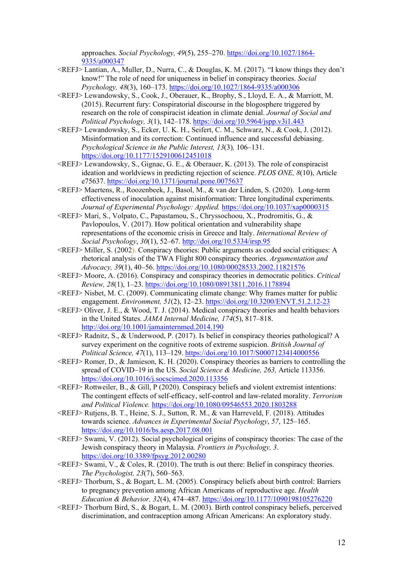approaches. *Social Psychology, 49*(5), 255–270. https://doi.org/10.1027/1864- 9335/a000347

- <REFJ> Lantian, A., Muller, D., Nurra, C., & Douglas, K. M. (2017). "I know things they don't know!" The role of need for uniqueness in belief in conspiracy theories. *Social Psychology, 48*(3), 160–173. https://doi.org/10.1027/1864-9335/a000306
- <REFJ> Lewandowsky, S., Cook, J., Oberauer, K., Brophy, S., Lloyd, E. A., & Marriott, M. (2015). Recurrent fury: Conspiratorial discourse in the blogosphere triggered by research on the role of conspiracist ideation in climate denial. *Journal of Social and Political Psychology, 3*(1), 142–178. https://doi.org/10.5964/jspp.v3i1.443
- <REFJ> Lewandowsky, S., Ecker, U. K. H., Seifert, C. M., Schwarz, N., & Cook, J. (2012). Misinformation and its correction: Continued influence and successful debiasing. *Psychological Science in the Public Interest, 13*(3)*,* 106–131. https://doi.org/10.1177/1529100612451018
- <REFJ> Lewandowsky, S., Gignac, G. E., & Oberauer, K. (2013). The role of conspiracist ideation and worldviews in predicting rejection of science. *PLOS ONE, 8*(10), Article e75637. https://doi.org/10.1371/journal.pone.0075637
- <REFJ> Maertens, R., Roozenbeek, J., Basol, M., & van der Linden, S. (2020). Long-term effectiveness of inoculation against misinformation: Three longitudinal experiments. *Journal of Experimental Psychology: Applied.* https://doi.org/10.1037/xap0000315
- <REFJ> Mari, S., Volpato, C., Papastamou, S., Chryssochoou, X., Prodromitis, G., & Pavlopoulos, V. (2017). How political orientation and vulnerability shape representations of the economic crisis in Greece and Italy. *International Review of Social Psychology*, *30*(1), 52–67. http://doi.org/10.5334/irsp.95
- <REFJ> Miller, S. (2002). Conspiracy theories: Public arguments as coded social critiques: A rhetorical analysis of the TWA Flight 800 conspiracy theories. *Argumentation and Advocacy, 39*(1), 40–56. https://doi.org/10.1080/00028533.2002.11821576
- <REFJ> Moore, A. (2016). Conspiracy and conspiracy theories in democratic politics. *Critical Review, 28*(1), 1–23. https://doi.org/10.1080/08913811.2016.1178894
- <REFJ> Nisbet, M. C. (2009). Communicating climate change: Why frames matter for public engagement. *Environment, 51*(2), 12–23. https://doi.org/10.3200/ENVT.51.2.12-23
- $\langle REFJ \rangle$  Oliver, J. E., & Wood, T. J. (2014). Medical conspiracy theories and health behaviors in the United States. *JAMA Internal Medicine, 174*(5), 817–818. http://doi.org/10.1001/jamainternmed.2014.190
- <REFJ> Radnitz, S., & Underwood, P. (2017). Is belief in conspiracy theories pathological? A survey experiment on the cognitive roots of extreme suspicion. *British Journal of Political Science, 47*(1), 113–129. https://doi.org/10.1017/S0007123414000556
- <REFJ> Romer, D., & Jamieson, K. H. (2020). Conspiracy theories as barriers to controlling the spread of COVID–19 in the US. *Social Science & Medicine, 263,* Article 113356. https://doi.org/10.1016/j.socscimed.2020.113356
- <REFJ> Rottweiler, B., & Gill, P (2020). Conspiracy beliefs and violent extremist intentions: The contingent effects of self-efficacy, self-control and law-related morality. *Terrorism and Political Violence.* https://doi.org/10.1080/09546553.2020.1803288
- <REFJ> Rutjens, B. T., Heine, S. J., Sutton, R. M., & van Harreveld, F. (2018). Attitudes towards science. *Advances in Experimental Social Psychology*, *57*, 125–165. https://doi.org/10.1016/bs.aesp.2017.08.001
- <REFJ> Swami, V. (2012). Social psychological origins of conspiracy theories: The case of the Jewish conspiracy theory in Malaysia. *Frontiers in Psychology, 3*. https://doi.org/10.3389/fpsyg.2012.00280
- $\langle REFJ \rangle$  Swami, V., & Coles, R. (2010). The truth is out there: Belief in conspiracy theories. *The Psychologist, 23*(7), 560–563.
- <REFJ> Thorburn, S., & Bogart, L. M. (2005). Conspiracy beliefs about birth control: Barriers to pregnancy prevention among African Americans of reproductive age. *Health Education & Behavior, 32*(4), 474–487. https://doi.org/10.1177/1090198105276220
- <REFJ> Thorburn Bird, S., & Bogart, L. M. (2003). Birth control conspiracy beliefs, perceived discrimination, and contraception among African Americans: An exploratory study.